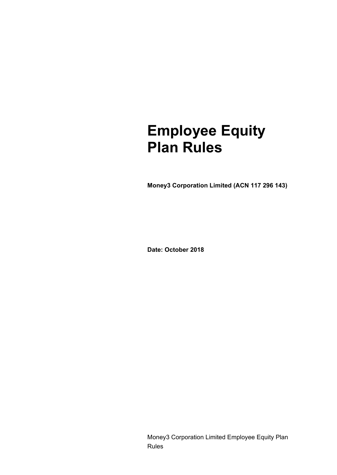# **Employee Equity Plan Rules**

**Money3 Corporation Limited (ACN 117 296 143)**

**Date: October 2018**

Money3 Corporation Limited Employee Equity Plan Rules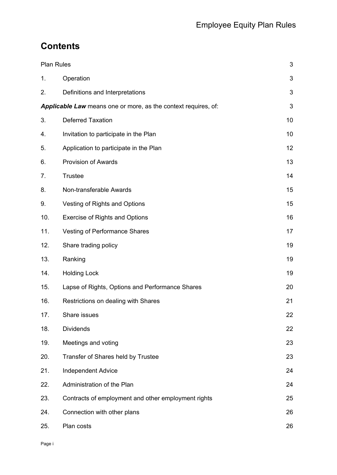# **Contents**

| <b>Plan Rules</b>                                                     |                                                     | 3  |
|-----------------------------------------------------------------------|-----------------------------------------------------|----|
| 1.                                                                    | Operation                                           | 3  |
| 2.                                                                    | Definitions and Interpretations                     | 3  |
| <b>Applicable Law</b> means one or more, as the context requires, of: |                                                     | 3  |
| 3.                                                                    | <b>Deferred Taxation</b>                            | 10 |
| 4.                                                                    | Invitation to participate in the Plan               | 10 |
| 5.                                                                    | Application to participate in the Plan              | 12 |
| 6.                                                                    | <b>Provision of Awards</b>                          | 13 |
| 7.                                                                    | <b>Trustee</b>                                      | 14 |
| 8.                                                                    | Non-transferable Awards                             | 15 |
| 9.                                                                    | Vesting of Rights and Options                       | 15 |
| 10.                                                                   | <b>Exercise of Rights and Options</b>               | 16 |
| 11.                                                                   | <b>Vesting of Performance Shares</b>                | 17 |
| 12.                                                                   | Share trading policy                                | 19 |
| 13.                                                                   | Ranking                                             | 19 |
| 14.                                                                   | <b>Holding Lock</b>                                 | 19 |
| 15.                                                                   | Lapse of Rights, Options and Performance Shares     | 20 |
| 16.                                                                   | Restrictions on dealing with Shares                 | 21 |
| 17.                                                                   | Share issues                                        | 22 |
| 18.                                                                   | <b>Dividends</b>                                    | 22 |
| 19.                                                                   | Meetings and voting                                 | 23 |
| 20.                                                                   | Transfer of Shares held by Trustee                  | 23 |
| 21.                                                                   | <b>Independent Advice</b>                           | 24 |
| 22.                                                                   | Administration of the Plan                          | 24 |
| 23.                                                                   | Contracts of employment and other employment rights | 25 |
| 24.                                                                   | Connection with other plans                         | 26 |
| 25.                                                                   | Plan costs                                          | 26 |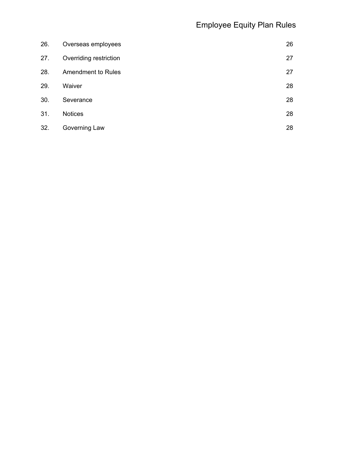| 26. | Overseas employees        | 26 |
|-----|---------------------------|----|
| 27. | Overriding restriction    | 27 |
| 28. | <b>Amendment to Rules</b> | 27 |
| 29. | Waiver                    | 28 |
| 30. | Severance                 | 28 |
| 31. | <b>Notices</b>            | 28 |
| 32. | Governing Law             | 28 |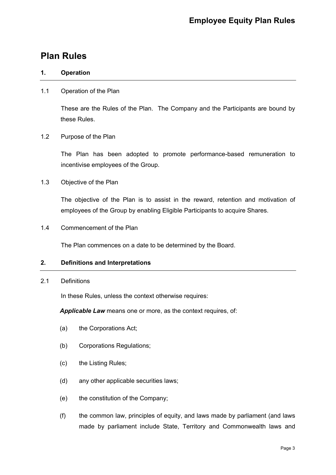# <span id="page-3-0"></span>**Plan Rules**

# <span id="page-3-1"></span>**1. Operation**

# 1.1 Operation of the Plan

These are the Rules of the Plan. The Company and the Participants are bound by these Rules.

# 1.2 Purpose of the Plan

The Plan has been adopted to promote performance-based remuneration to incentivise employees of the Group.

1.3 Objective of the Plan

The objective of the Plan is to assist in the reward, retention and motivation of employees of the Group by enabling Eligible Participants to acquire Shares.

1.4 Commencement of the Plan

The Plan commences on a date to be determined by the Board.

# <span id="page-3-2"></span>**2. Definitions and Interpretations**

2.1 Definitions

In these Rules, unless the context otherwise requires:

<span id="page-3-3"></span>*Applicable Law* means one or more, as the context requires, of:

- <span id="page-3-4"></span>(a) the Corporations Act;
- (b) Corporations Regulations;
- (c) the Listing Rules;
- (d) any other applicable securities laws;
- <span id="page-3-5"></span>(e) the constitution of the Company;
- (f) the common law, principles of equity, and laws made by parliament (and laws made by parliament include State, Territory and Commonwealth laws and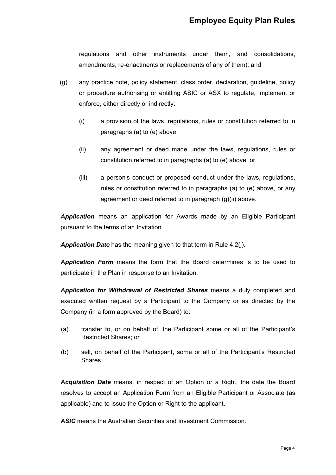regulations and other instruments under them, and consolidations, amendments, re-enactments or replacements of any of them); and

- <span id="page-4-1"></span><span id="page-4-0"></span>(g) any practice note, policy statement, class order, declaration, guideline, policy or procedure authorising or entitling ASIC or ASX to regulate, implement or enforce, either directly or indirectly:
	- (i) a provision of the laws, regulations, rules or constitution referred to in paragraphs [\(a\)](#page-3-4) to [\(e\)](#page-3-5) above;
	- (ii) any agreement or deed made under the laws, regulations, rules or constitution referred to in paragraphs [\(a\)](#page-3-4) to [\(e\)](#page-3-5) above; or
	- (iii) a person's conduct or proposed conduct under the laws, regulations, rules or constitution referred to in paragraphs [\(a\)](#page-3-4) to [\(e\)](#page-3-5) above, or any agreement or deed referred to in paragraph [\(g\)](#page-4-0)[\(ii\)](#page-4-1) above.

*Application* means an application for Awards made by an Eligible Participant pursuant to the terms of an Invitation.

*Application Date* has the meaning given to that term in Rule 4.2(j).

*Application Form* means the form that the Board determines is to be used to participate in the Plan in response to an Invitation.

*Application for Withdrawal of Restricted Shares* means a duly completed and executed written request by a Participant to the Company or as directed by the Company (in a form approved by the Board) to:

- (a) transfer to, or on behalf of, the Participant some or all of the Participant's Restricted Shares; or
- (b) sell, on behalf of the Participant, some or all of the Participant's Restricted Shares.

*Acquisition Date* means, in respect of an Option or a Right, the date the Board resolves to accept an Application Form from an Eligible Participant or Associate (as applicable) and to issue the Option or Right to the applicant.

*ASIC* means the Australian Securities and Investment Commission.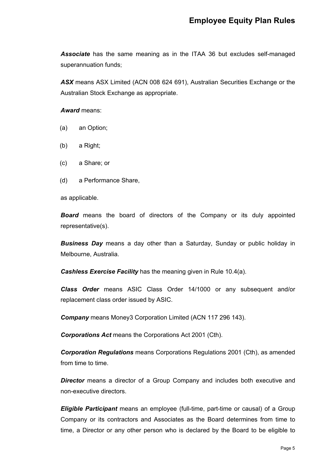*Associate* has the same meaning as in the ITAA 36 but excludes self-managed superannuation funds;

*ASX* means ASX Limited (ACN 008 624 691), Australian Securities Exchange or the Australian Stock Exchange as appropriate.

# *Award* means:

- (a) an Option;
- (b) a Right;
- (c) a Share; or
- (d) a Performance Share,

as applicable.

*Board* means the board of directors of the Company or its duly appointed representative(s).

*Business Day* means a day other than a Saturday, Sunday or public holiday in Melbourne, Australia.

*Cashless Exercise Facility* has the meaning given in Rule 10.4(a).

*Class Order* means ASIC Class Order 14/1000 or any subsequent and/or replacement class order issued by ASIC.

*Company* means Money3 Corporation Limited (ACN 117 296 143).

*Corporations Act* means the Corporations Act 2001 (Cth).

*Corporation Regulations* means Corporations Regulations 2001 (Cth), as amended from time to time.

**Director** means a director of a Group Company and includes both executive and non-executive directors.

*Eligible Participant* means an employee (full-time, part-time or causal) of a Group Company or its contractors and Associates as the Board determines from time to time, a Director or any other person who is declared by the Board to be eligible to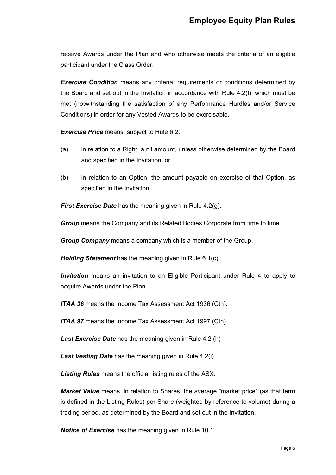receive Awards under the Plan and who otherwise meets the criteria of an eligible participant under the Class Order.

**Exercise Condition** means any criteria, requirements or conditions determined by the Board and set out in the Invitation in accordance with Rule 4.2(f), which must be met (notwithstanding the satisfaction of any Performance Hurdles and/or Service Conditions) in order for any Vested Awards to be exercisable.

*Exercise Price* means, subject to Rule 6.2:

- (a) in relation to a Right, a nil amount, unless otherwise determined by the Board and specified in the Invitation, or
- (b) in relation to an Option, the amount payable on exercise of that Option, as specified in the Invitation.

*First Exercise Date* has the meaning given in Rule 4.2(g).

*Group* means the Company and its Related Bodies Corporate from time to time.

*Group Company* means a company which is a member of the Group.

*Holding Statement* has the meaning given in Rule 6.1(c)

*Invitation* means an invitation to an Eligible Participant under Rule 4 to apply to acquire Awards under the Plan.

*ITAA 36* means the Income Tax Assessment Act 1936 (Cth).

*ITAA 97* means the Income Tax Assessment Act 1997 (Cth).

*Last Exercise Date* has the meaning given in Rule 4.2 (h)

*Last Vesting Date* has the meaning given in Rule 4.2(i)

*Listing Rules* means the official listing rules of the ASX.

*Market Value* means, in relation to Shares, the average "market price" (as that term is defined in the Listing Rules) per Share (weighted by reference to volume) during a trading period, as determined by the Board and set out in the Invitation.

*Notice of Exercise* has the meaning given in Rule 10.1.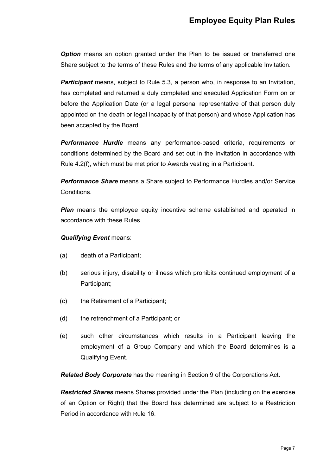**Option** means an option granted under the Plan to be issued or transferred one Share subject to the terms of these Rules and the terms of any applicable Invitation.

**Participant** means, subject to Rule 5.3, a person who, in response to an Invitation, has completed and returned a duly completed and executed Application Form on or before the Application Date (or a legal personal representative of that person duly appointed on the death or legal incapacity of that person) and whose Application has been accepted by the Board.

*Performance Hurdle* means any performance-based criteria, requirements or conditions determined by the Board and set out in the Invitation in accordance with Rule 4.2(f), which must be met prior to Awards vesting in a Participant.

*Performance Share* means a Share subject to Performance Hurdles and/or Service Conditions.

**Plan** means the employee equity incentive scheme established and operated in accordance with these Rules.

# *Qualifying Event* means:

- (a) death of a Participant;
- (b) serious injury, disability or illness which prohibits continued employment of a Participant;
- (c) the Retirement of a Participant;
- (d) the retrenchment of a Participant; or
- (e) such other circumstances which results in a Participant leaving the employment of a Group Company and which the Board determines is a Qualifying Event.

*Related Body Corporate* has the meaning in Section 9 of the Corporations Act.

*Restricted Shares* means Shares provided under the Plan (including on the exercise of an Option or Right) that the Board has determined are subject to a Restriction Period in accordance with Rule 16.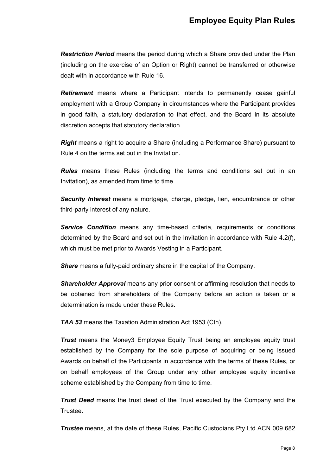*Restriction Period* means the period during which a Share provided under the Plan (including on the exercise of an Option or Right) cannot be transferred or otherwise dealt with in accordance with Rule 16.

*Retirement* means where a Participant intends to permanently cease gainful employment with a Group Company in circumstances where the Participant provides in good faith, a statutory declaration to that effect, and the Board in its absolute discretion accepts that statutory declaration.

*Right* means a right to acquire a Share (including a Performance Share) pursuant to Rule 4 on the terms set out in the Invitation.

*Rules* means these Rules (including the terms and conditions set out in an Invitation), as amended from time to time.

*Security Interest* means a mortgage, charge, pledge, lien, encumbrance or other third-party interest of any nature.

*Service Condition* means any time-based criteria, requirements or conditions determined by the Board and set out in the Invitation in accordance with Rule [4.2\(f\),](#page-11-0) which must be met prior to Awards Vesting in a Participant.

*Share* means a fully-paid ordinary share in the capital of the Company.

*Shareholder Approval* means any prior consent or affirming resolution that needs to be obtained from shareholders of the Company before an action is taken or a determination is made under these Rules.

*TAA 53* means the Taxation Administration Act 1953 (Cth).

*Trust* means the Money3 Employee Equity Trust being an employee equity trust established by the Company for the sole purpose of acquiring or being issued Awards on behalf of the Participants in accordance with the terms of these Rules, or on behalf employees of the Group under any other employee equity incentive scheme established by the Company from time to time.

*Trust Deed* means the trust deed of the Trust executed by the Company and the Trustee.

*Trustee* means, at the date of these Rules, Pacific Custodians Pty Ltd ACN 009 682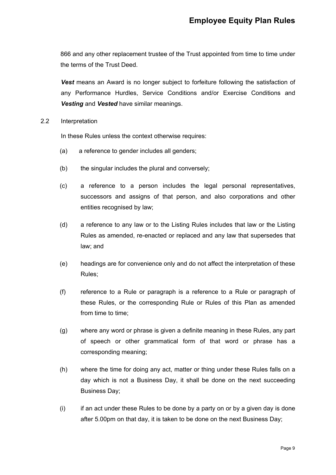866 and any other replacement trustee of the Trust appointed from time to time under the terms of the Trust Deed.

**Vest** means an Award is no longer subject to forfeiture following the satisfaction of any Performance Hurdles, Service Conditions and/or Exercise Conditions and *Vesting* and *Vested* have similar meanings.

2.2 Interpretation

In these Rules unless the context otherwise requires:

- (a) a reference to gender includes all genders;
- (b) the singular includes the plural and conversely;
- (c) a reference to a person includes the legal personal representatives, successors and assigns of that person, and also corporations and other entities recognised by law;
- (d) a reference to any law or to the Listing Rules includes that law or the Listing Rules as amended, re-enacted or replaced and any law that supersedes that law; and
- (e) headings are for convenience only and do not affect the interpretation of these Rules;
- (f) reference to a Rule or paragraph is a reference to a Rule or paragraph of these Rules, or the corresponding Rule or Rules of this Plan as amended from time to time;
- (g) where any word or phrase is given a definite meaning in these Rules, any part of speech or other grammatical form of that word or phrase has a corresponding meaning;
- (h) where the time for doing any act, matter or thing under these Rules falls on a day which is not a Business Day, it shall be done on the next succeeding Business Day;
- (i) if an act under these Rules to be done by a party on or by a given day is done after 5.00pm on that day, it is taken to be done on the next Business Day;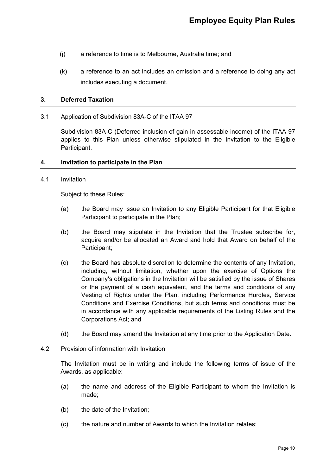- (j) a reference to time is to Melbourne, Australia time; and
- (k) a reference to an act includes an omission and a reference to doing any act includes executing a document.

# <span id="page-10-0"></span>**3. Deferred Taxation**

3.1 Application of Subdivision 83A-C of the ITAA 97

Subdivision 83A-C (Deferred inclusion of gain in assessable income) of the ITAA 97 applies to this Plan unless otherwise stipulated in the Invitation to the Eligible Participant.

### <span id="page-10-1"></span>**4. Invitation to participate in the Plan**

#### 4.1 Invitation

Subject to these Rules:

- (a) the Board may issue an Invitation to any Eligible Participant for that Eligible Participant to participate in the Plan;
- (b) the Board may stipulate in the Invitation that the Trustee subscribe for, acquire and/or be allocated an Award and hold that Award on behalf of the Participant;
- (c) the Board has absolute discretion to determine the contents of any Invitation, including, without limitation, whether upon the exercise of Options the Company's obligations in the Invitation will be satisfied by the issue of Shares or the payment of a cash equivalent, and the terms and conditions of any Vesting of Rights under the Plan, including Performance Hurdles, Service Conditions and Exercise Conditions, but such terms and conditions must be in accordance with any applicable requirements of the Listing Rules and the Corporations Act; and
- (d) the Board may amend the Invitation at any time prior to the Application Date.
- 4.2 Provision of information with Invitation

The Invitation must be in writing and include the following terms of issue of the Awards, as applicable:

- (a) the name and address of the Eligible Participant to whom the Invitation is made;
- (b) the date of the Invitation;
- (c) the nature and number of Awards to which the Invitation relates;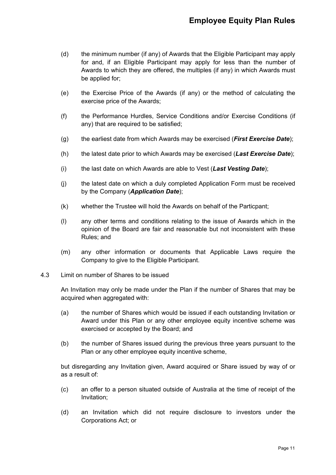- (d) the minimum number (if any) of Awards that the Eligible Participant may apply for and, if an Eligible Participant may apply for less than the number of Awards to which they are offered, the multiples (if any) in which Awards must be applied for;
- (e) the Exercise Price of the Awards (if any) or the method of calculating the exercise price of the Awards;
- <span id="page-11-0"></span>(f) the Performance Hurdles, Service Conditions and/or Exercise Conditions (if any) that are required to be satisfied;
- (g) the earliest date from which Awards may be exercised (*First Exercise Date*);
- (h) the latest date prior to which Awards may be exercised (*Last Exercise Date*);
- (i) the last date on which Awards are able to Vest (*Last Vesting Date*);
- (j) the latest date on which a duly completed Application Form must be received by the Company (*Application Date*);
- (k) whether the Trustee will hold the Awards on behalf of the Particpant;
- (l) any other terms and conditions relating to the issue of Awards which in the opinion of the Board are fair and reasonable but not inconsistent with these Rules; and
- (m) any other information or documents that Applicable Laws require the Company to give to the Eligible Participant.
- 4.3 Limit on number of Shares to be issued

An Invitation may only be made under the Plan if the number of Shares that may be acquired when aggregated with:

- (a) the number of Shares which would be issued if each outstanding Invitation or Award under this Plan or any other employee equity incentive scheme was exercised or accepted by the Board; and
- (b) the number of Shares issued during the previous three years pursuant to the Plan or any other employee equity incentive scheme.

but disregarding any Invitation given, Award acquired or Share issued by way of or as a result of:

- (c) an offer to a person situated outside of Australia at the time of receipt of the Invitation;
- (d) an Invitation which did not require disclosure to investors under the Corporations Act; or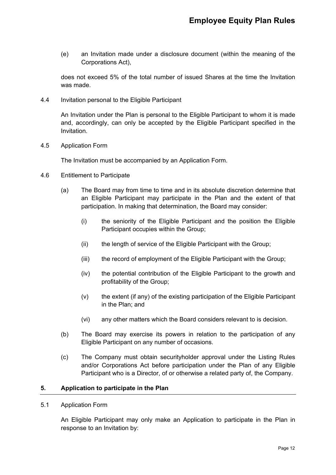(e) an Invitation made under a disclosure document (within the meaning of the Corporations Act),

does not exceed 5% of the total number of issued Shares at the time the Invitation was made.

4.4 Invitation personal to the Eligible Participant

An Invitation under the Plan is personal to the Eligible Participant to whom it is made and, accordingly, can only be accepted by the Eligible Participant specified in the Invitation.

4.5 Application Form

The Invitation must be accompanied by an Application Form.

- 4.6 Entitlement to Participate
	- (a) The Board may from time to time and in its absolute discretion determine that an Eligible Participant may participate in the Plan and the extent of that participation. In making that determination, the Board may consider:
		- (i) the seniority of the Eligible Participant and the position the Eligible Participant occupies within the Group;
		- (ii) the length of service of the Eligible Participant with the Group;
		- (iii) the record of employment of the Eligible Participant with the Group;
		- (iv) the potential contribution of the Eligible Participant to the growth and profitability of the Group;
		- (v) the extent (if any) of the existing participation of the Eligible Participant in the Plan; and
		- (vi) any other matters which the Board considers relevant to is decision.
	- (b) The Board may exercise its powers in relation to the participation of any Eligible Participant on any number of occasions.
	- (c) The Company must obtain securityholder approval under the Listing Rules and/or Corporations Act before participation under the Plan of any Eligible Participant who is a Director, of or otherwise a related party of, the Company.

#### <span id="page-12-0"></span>**5. Application to participate in the Plan**

5.1 Application Form

An Eligible Participant may only make an Application to participate in the Plan in response to an Invitation by: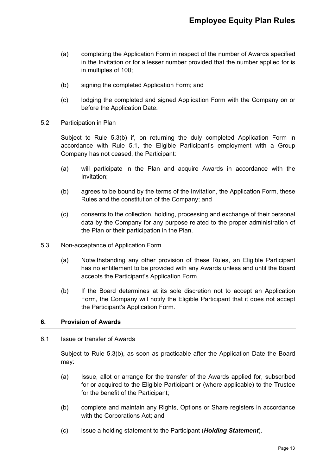- (a) completing the Application Form in respect of the number of Awards specified in the Invitation or for a lesser number provided that the number applied for is in multiples of 100;
- (b) signing the completed Application Form; and
- (c) lodging the completed and signed Application Form with the Company on or before the Application Date.
- 5.2 Participation in Plan

Subject to Rule 5.3(b) if, on returning the duly completed Application Form in accordance with Rule 5.1, the Eligible Participant's employment with a Group Company has not ceased, the Participant:

- (a) will participate in the Plan and acquire Awards in accordance with the Invitation;
- (b) agrees to be bound by the terms of the Invitation, the Application Form, these Rules and the constitution of the Company; and
- (c) consents to the collection, holding, processing and exchange of their personal data by the Company for any purpose related to the proper administration of the Plan or their participation in the Plan.
- 5.3 Non-acceptance of Application Form
	- (a) Notwithstanding any other provision of these Rules, an Eligible Participant has no entitlement to be provided with any Awards unless and until the Board accepts the Participant's Application Form.
	- (b) If the Board determines at its sole discretion not to accept an Application Form, the Company will notify the Eligible Participant that it does not accept the Participant's Application Form.

# <span id="page-13-0"></span>**6. Provision of Awards**

# 6.1 Issue or transfer of Awards

Subject to Rule 5.3(b), as soon as practicable after the Application Date the Board may:

- (a) Issue, allot or arrange for the transfer of the Awards applied for, subscribed for or acquired to the Eligible Participant or (where applicable) to the Trustee for the benefit of the Participant;
- (b) complete and maintain any Rights, Options or Share registers in accordance with the Corporations Act; and
- (c) issue a holding statement to the Participant (*Holding Statement*).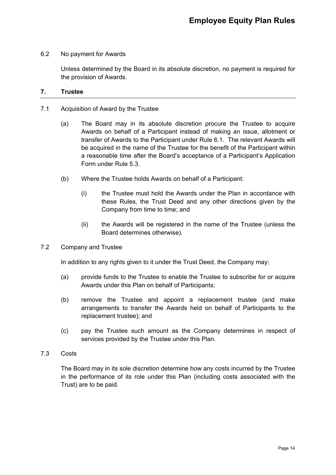# 6.2 No payment for Awards

Unless determined by the Board in its absolute discretion, no payment is required for the provision of Awards.

# <span id="page-14-0"></span>**7. Trustee**

- 7.1 Acquisition of Award by the Trustee
	- (a) The Board may in its absolute discretion procure the Trustee to acquire Awards on behalf of a Participant instead of making an issue, allotment or transfer of Awards to the Participant under Rule 6.1. The relevant Awards will be acquired in the name of the Trustee for the benefit of the Participant within a reasonable time after the Board's acceptance of a Participant's Application Form under Rule 5.3.
	- (b) Where the Trustee holds Awards on behalf of a Participant:
		- (i) the Trustee must hold the Awards under the Plan in accordance with these Rules, the Trust Deed and any other directions given by the Company from time to time; and
		- (ii) the Awards will be registered in the name of the Trustee (unless the Board determines otherwise).
- 7.2 Company and Trustee

In addition to any rights given to it under the Trust Deed, the Company may:

- (a) provide funds to the Trustee to enable the Trustee to subscribe for or acquire Awards under this Plan on behalf of Participants;
- (b) remove the Trustee and appoint a replacement trustee (and make arrangements to transfer the Awards held on behalf of Participants to the replacement trustee); and
- (c) pay the Trustee such amount as the Company determines in respect of services provided by the Trustee under this Plan.
- 7.3 Costs

The Board may in its sole discretion determine how any costs incurred by the Trustee in the performance of its role under this Plan (including costs associated with the Trust) are to be paid.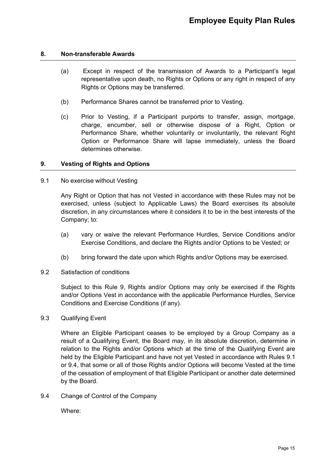# <span id="page-15-0"></span>**8. Non-transferable Awards**

- (a) Except in respect of the transmission of Awards to a Participant's legal representative upon death, no Rights or Options or any right in respect of any Rights or Options may be transferred.
- (b) Performance Shares cannot be transferred prior to Vesting.
- (c) Prior to Vesting, if a Participant purports to transfer, assign, mortgage, charge, encumber, sell or otherwise dispose of a Right, Option or Performance Share, whether voluntarily or involuntarily, the relevant Right Option or Performance Share will lapse immediately, unless the Board determines otherwise.

# <span id="page-15-1"></span>**9. Vesting of Rights and Options**

9.1 No exercise without Vesting

Any Right or Option that has not Vested in accordance with these Rules may not be exercised, unless (subject to Applicable Laws) the Board exercises its absolute discretion, in any circumstances where it considers it to be in the best interests of the Company; to:

- (a) vary or waive the relevant Performance Hurdles, Service Conditions and/or Exercise Conditions, and declare the Rights and/or Options to be Vested; or
- (b) bring forward the date upon which Rights and/or Options may be exercised.
- 9.2 Satisfaction of conditions

Subject to this Rule 9, Rights and/or Options may only be exercised if the Rights and/or Options Vest in accordance with the applicable Performance Hurdles, Service Conditions and Exercise Conditions (if any).

9.3 Qualifying Event

Where an Eligible Participant ceases to be employed by a Group Company as a result of a Qualifying Event, the Board may, in its absolute discretion, determine in relation to the Rights and/or Options which at the time of the Qualifying Event are held by the Eligible Participant and have not yet Vested in accordance with Rules 9.1 or 9.4, that some or all of those Rights and/or Options will become Vested at the time of the cessation of employment of that Eligible Participant or another date determined by the Board.

9.4 Change of Control of the Company

Where: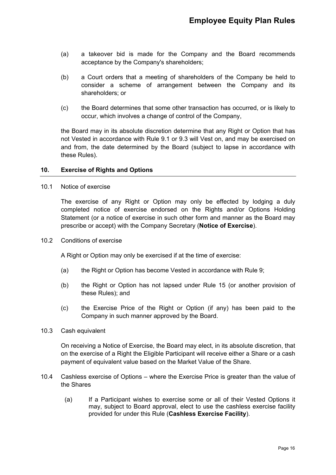- (a) a takeover bid is made for the Company and the Board recommends acceptance by the Company's shareholders;
- (b) a Court orders that a meeting of shareholders of the Company be held to consider a scheme of arrangement between the Company and its shareholders; or
- (c) the Board determines that some other transaction has occurred, or is likely to occur, which involves a change of control of the Company,

the Board may in its absolute discretion determine that any Right or Option that has not Vested in accordance with Rule 9.1 or 9.3 will Vest on, and may be exercised on and from, the date determined by the Board (subject to lapse in accordance with these Rules).

# <span id="page-16-0"></span>**10. Exercise of Rights and Options**

10.1 Notice of exercise

The exercise of any Right or Option may only be effected by lodging a duly completed notice of exercise endorsed on the Rights and/or Options Holding Statement (or a notice of exercise in such other form and manner as the Board may prescribe or accept) with the Company Secretary (**Notice of Exercise**).

10.2 Conditions of exercise

A Right or Option may only be exercised if at the time of exercise:

- (a) the Right or Option has become Vested in accordance with Rule 9;
- (b) the Right or Option has not lapsed under Rule 15 (or another provision of these Rules); and
- (c) the Exercise Price of the Right or Option (if any) has been paid to the Company in such manner approved by the Board.
- 10.3 Cash equivalent

On receiving a Notice of Exercise, the Board may elect, in its absolute discretion, that on the exercise of a Right the Eligible Participant will receive either a Share or a cash payment of equivalent value based on the Market Value of the Share.

- 10.4 Cashless exercise of Options where the Exercise Price is greater than the value of the Shares
	- (a) If a Participant wishes to exercise some or all of their Vested Options it may, subject to Board approval, elect to use the cashless exercise facility provided for under this Rule (**Cashless Exercise Facility**).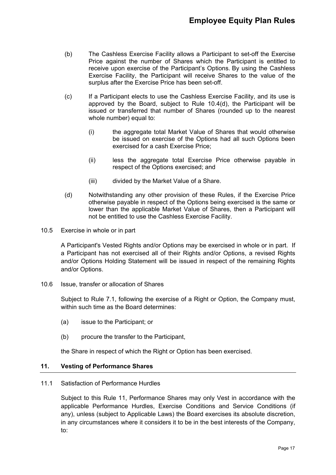- (b) The Cashless Exercise Facility allows a Participant to set-off the Exercise Price against the number of Shares which the Participant is entitled to receive upon exercise of the Participant's Options. By using the Cashless Exercise Facility, the Participant will receive Shares to the value of the surplus after the Exercise Price has been set-off.
- (c) If a Participant elects to use the Cashless Exercise Facility, and its use is approved by the Board, subject to Rule 10.4(d), the Participant will be issued or transferred that number of Shares (rounded up to the nearest whole number) equal to:
	- (i) the aggregate total Market Value of Shares that would otherwise be issued on exercise of the Options had all such Options been exercised for a cash Exercise Price;
	- (ii) less the aggregate total Exercise Price otherwise payable in respect of the Options exercised; and
	- (iii) divided by the Market Value of a Share.
- (d) Notwithstanding any other provision of these Rules, if the Exercise Price otherwise payable in respect of the Options being exercised is the same or lower than the applicable Market Value of Shares, then a Participant will not be entitled to use the Cashless Exercise Facility.
- 10.5 Exercise in whole or in part

A Participant's Vested Rights and/or Options may be exercised in whole or in part. If a Participant has not exercised all of their Rights and/or Options, a revised Rights and/or Options Holding Statement will be issued in respect of the remaining Rights and/or Options.

10.6 Issue, transfer or allocation of Shares

Subject to Rule 7.1, following the exercise of a Right or Option, the Company must, within such time as the Board determines:

- (a) issue to the Participant; or
- (b) procure the transfer to the Participant,

the Share in respect of which the Right or Option has been exercised.

# <span id="page-17-0"></span>**11. Vesting of Performance Shares**

#### 11.1 Satisfaction of Performance Hurdles

Subject to this Rule 11, Performance Shares may only Vest in accordance with the applicable Performance Hurdles, Exercise Conditions and Service Conditions (if any), unless (subject to Applicable Laws) the Board exercises its absolute discretion, in any circumstances where it considers it to be in the best interests of the Company, to: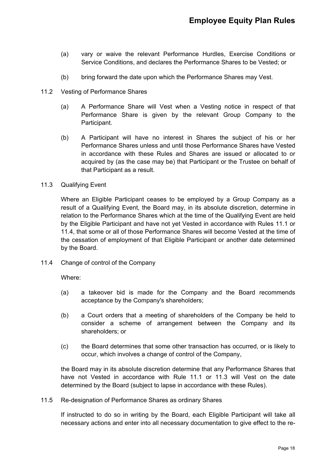- (a) vary or waive the relevant Performance Hurdles, Exercise Conditions or Service Conditions, and declares the Performance Shares to be Vested; or
- (b) bring forward the date upon which the Performance Shares may Vest.
- 11.2 Vesting of Performance Shares
	- (a) A Performance Share will Vest when a Vesting notice in respect of that Performance Share is given by the relevant Group Company to the Participant.
	- (b) A Participant will have no interest in Shares the subject of his or her Performance Shares unless and until those Performance Shares have Vested in accordance with these Rules and Shares are issued or allocated to or acquired by (as the case may be) that Participant or the Trustee on behalf of that Participant as a result.
- 11.3 Qualifying Event

Where an Eligible Participant ceases to be employed by a Group Company as a result of a Qualifying Event, the Board may, in its absolute discretion, determine in relation to the Performance Shares which at the time of the Qualifying Event are held by the Eligible Participant and have not yet Vested in accordance with Rules 11.1 or 11.4, that some or all of those Performance Shares will become Vested at the time of the cessation of employment of that Eligible Participant or another date determined by the Board.

11.4 Change of control of the Company

Where:

- (a) a takeover bid is made for the Company and the Board recommends acceptance by the Company's shareholders;
- (b) a Court orders that a meeting of shareholders of the Company be held to consider a scheme of arrangement between the Company and its shareholders; or
- (c) the Board determines that some other transaction has occurred, or is likely to occur, which involves a change of control of the Company,

the Board may in its absolute discretion determine that any Performance Shares that have not Vested in accordance with Rule 11.1 or 11.3 will Vest on the date determined by the Board (subject to lapse in accordance with these Rules).

11.5 Re-designation of Performance Shares as ordinary Shares

If instructed to do so in writing by the Board, each Eligible Participant will take all necessary actions and enter into all necessary documentation to give effect to the re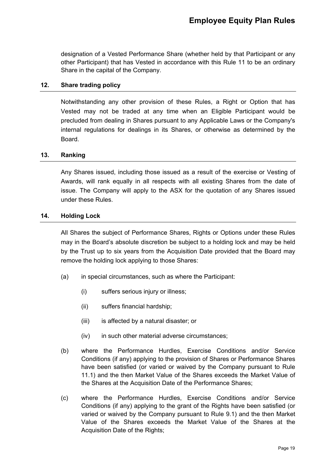designation of a Vested Performance Share (whether held by that Participant or any other Participant) that has Vested in accordance with this Rule 11 to be an ordinary Share in the capital of the Company.

# <span id="page-19-0"></span>**12. Share trading policy**

Notwithstanding any other provision of these Rules, a Right or Option that has Vested may not be traded at any time when an Eligible Participant would be precluded from dealing in Shares pursuant to any Applicable Laws or the Company's internal regulations for dealings in its Shares, or otherwise as determined by the Board.

### <span id="page-19-1"></span>**13. Ranking**

Any Shares issued, including those issued as a result of the exercise or Vesting of Awards, will rank equally in all respects with all existing Shares from the date of issue. The Company will apply to the ASX for the quotation of any Shares issued under these Rules.

#### <span id="page-19-2"></span>**14. Holding Lock**

All Shares the subject of Performance Shares, Rights or Options under these Rules may in the Board's absolute discretion be subject to a holding lock and may be held by the Trust up to six years from the Acquisition Date provided that the Board may remove the holding lock applying to those Shares:

- (a) in special circumstances, such as where the Participant:
	- (i) suffers serious injury or illness;
	- (ii) suffers financial hardship;
	- (iii) is affected by a natural disaster; or
	- (iv) in such other material adverse circumstances;
- (b) where the Performance Hurdles, Exercise Conditions and/or Service Conditions (if any) applying to the provision of Shares or Performance Shares have been satisfied (or varied or waived by the Company pursuant to Rule 11.1) and the then Market Value of the Shares exceeds the Market Value of the Shares at the Acquisition Date of the Performance Shares;
- (c) where the Performance Hurdles, Exercise Conditions and/or Service Conditions (if any) applying to the grant of the Rights have been satisfied (or varied or waived by the Company pursuant to Rule 9.1) and the then Market Value of the Shares exceeds the Market Value of the Shares at the Acquisition Date of the Rights;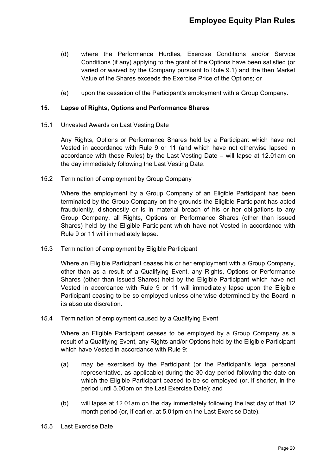- (d) where the Performance Hurdles, Exercise Conditions and/or Service Conditions (if any) applying to the grant of the Options have been satisfied (or varied or waived by the Company pursuant to Rule 9.1) and the then Market Value of the Shares exceeds the Exercise Price of the Options; or
- (e) upon the cessation of the Participant's employment with a Group Company.

# <span id="page-20-0"></span>**15. Lapse of Rights, Options and Performance Shares**

15.1 Unvested Awards on Last Vesting Date

Any Rights, Options or Performance Shares held by a Participant which have not Vested in accordance with Rule 9 or 11 (and which have not otherwise lapsed in accordance with these Rules) by the Last Vesting Date – will lapse at 12.01am on the day immediately following the Last Vesting Date.

15.2 Termination of employment by Group Company

Where the employment by a Group Company of an Eligible Participant has been terminated by the Group Company on the grounds the Eligible Participant has acted fraudulently, dishonestly or is in material breach of his or her obligations to any Group Company, all Rights, Options or Performance Shares (other than issued Shares) held by the Eligible Participant which have not Vested in accordance with Rule 9 or 11 will immediately lapse.

15.3 Termination of employment by Eligible Participant

Where an Eligible Participant ceases his or her employment with a Group Company, other than as a result of a Qualifying Event, any Rights, Options or Performance Shares (other than issued Shares) held by the Eligible Participant which have not Vested in accordance with Rule 9 or 11 will immediately lapse upon the Eligible Participant ceasing to be so employed unless otherwise determined by the Board in its absolute discretion.

15.4 Termination of employment caused by a Qualifying Event

Where an Eligible Participant ceases to be employed by a Group Company as a result of a Qualifying Event, any Rights and/or Options held by the Eligible Participant which have Vested in accordance with Rule 9:

- (a) may be exercised by the Participant (or the Participant's legal personal representative, as applicable) during the 30 day period following the date on which the Eligible Participant ceased to be so employed (or, if shorter, in the period until 5.00pm on the Last Exercise Date); and
- (b) will lapse at 12.01am on the day immediately following the last day of that 12 month period (or, if earlier, at 5.01pm on the Last Exercise Date).
- 15.5 Last Exercise Date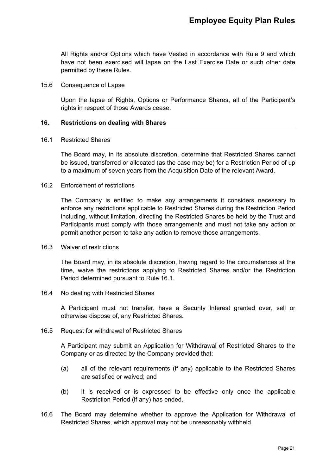All Rights and/or Options which have Vested in accordance with Rule 9 and which have not been exercised will lapse on the Last Exercise Date or such other date permitted by these Rules.

#### 15.6 Consequence of Lapse

Upon the lapse of Rights, Options or Performance Shares, all of the Participant's rights in respect of those Awards cease.

# <span id="page-21-0"></span>**16. Restrictions on dealing with Shares**

#### 16.1 Restricted Shares

The Board may, in its absolute discretion, determine that Restricted Shares cannot be issued, transferred or allocated (as the case may be) for a Restriction Period of up to a maximum of seven years from the Acquisition Date of the relevant Award.

#### 16.2 Enforcement of restrictions

The Company is entitled to make any arrangements it considers necessary to enforce any restrictions applicable to Restricted Shares during the Restriction Period including, without limitation, directing the Restricted Shares be held by the Trust and Participants must comply with those arrangements and must not take any action or permit another person to take any action to remove those arrangements.

#### 16.3 Waiver of restrictions

The Board may, in its absolute discretion, having regard to the circumstances at the time, waive the restrictions applying to Restricted Shares and/or the Restriction Period determined pursuant to Rule 16.1.

#### 16.4 No dealing with Restricted Shares

A Participant must not transfer, have a Security Interest granted over, sell or otherwise dispose of, any Restricted Shares.

#### 16.5 Request for withdrawal of Restricted Shares

A Participant may submit an Application for Withdrawal of Restricted Shares to the Company or as directed by the Company provided that:

- (a) all of the relevant requirements (if any) applicable to the Restricted Shares are satisfied or waived; and
- (b) it is received or is expressed to be effective only once the applicable Restriction Period (if any) has ended.
- 16.6 The Board may determine whether to approve the Application for Withdrawal of Restricted Shares, which approval may not be unreasonably withheld.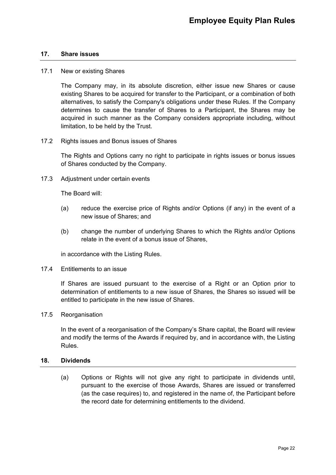### <span id="page-22-0"></span>**17. Share issues**

#### 17.1 New or existing Shares

The Company may, in its absolute discretion, either issue new Shares or cause existing Shares to be acquired for transfer to the Participant, or a combination of both alternatives, to satisfy the Company's obligations under these Rules. If the Company determines to cause the transfer of Shares to a Participant, the Shares may be acquired in such manner as the Company considers appropriate including, without limitation, to be held by the Trust.

17.2 Rights issues and Bonus issues of Shares

The Rights and Options carry no right to participate in rights issues or bonus issues of Shares conducted by the Company.

17.3 Adjustment under certain events

The Board will:

- (a) reduce the exercise price of Rights and/or Options (if any) in the event of a new issue of Shares; and
- (b) change the number of underlying Shares to which the Rights and/or Options relate in the event of a bonus issue of Shares,

in accordance with the Listing Rules.

17.4 Entitlements to an issue

If Shares are issued pursuant to the exercise of a Right or an Option prior to determination of entitlements to a new issue of Shares, the Shares so issued will be entitled to participate in the new issue of Shares.

17.5 Reorganisation

In the event of a reorganisation of the Company's Share capital, the Board will review and modify the terms of the Awards if required by, and in accordance with, the Listing Rules.

#### <span id="page-22-1"></span>**18. Dividends**

(a) Options or Rights will not give any right to participate in dividends until, pursuant to the exercise of those Awards, Shares are issued or transferred (as the case requires) to, and registered in the name of, the Participant before the record date for determining entitlements to the dividend.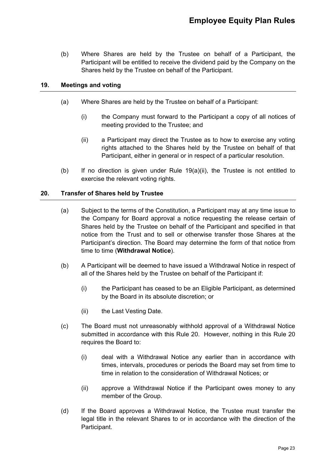(b) Where Shares are held by the Trustee on behalf of a Participant, the Participant will be entitled to receive the dividend paid by the Company on the Shares held by the Trustee on behalf of the Participant.

# <span id="page-23-0"></span>**19. Meetings and voting**

- (a) Where Shares are held by the Trustee on behalf of a Participant:
	- (i) the Company must forward to the Participant a copy of all notices of meeting provided to the Trustee; and
	- (ii) a Participant may direct the Trustee as to how to exercise any voting rights attached to the Shares held by the Trustee on behalf of that Participant, either in general or in respect of a particular resolution.
- (b) If no direction is given under Rule  $19(a)(ii)$ , the Trustee is not entitled to exercise the relevant voting rights.

# <span id="page-23-1"></span>**20. Transfer of Shares held by Trustee**

- (a) Subject to the terms of the Constitution, a Participant may at any time issue to the Company for Board approval a notice requesting the release certain of Shares held by the Trustee on behalf of the Participant and specified in that notice from the Trust and to sell or otherwise transfer those Shares at the Participant's direction. The Board may determine the form of that notice from time to time (**Withdrawal Notice**).
- (b) A Participant will be deemed to have issued a Withdrawal Notice in respect of all of the Shares held by the Trustee on behalf of the Participant if:
	- (i) the Participant has ceased to be an Eligible Participant, as determined by the Board in its absolute discretion; or
	- (ii) the Last Vesting Date.
- (c) The Board must not unreasonably withhold approval of a Withdrawal Notice submitted in accordance with this Rule 20. However, nothing in this Rule 20 requires the Board to:
	- (i) deal with a Withdrawal Notice any earlier than in accordance with times, intervals, procedures or periods the Board may set from time to time in relation to the consideration of Withdrawal Notices; or
	- (ii) approve a Withdrawal Notice if the Participant owes money to any member of the Group.
- (d) If the Board approves a Withdrawal Notice, the Trustee must transfer the legal title in the relevant Shares to or in accordance with the direction of the Participant.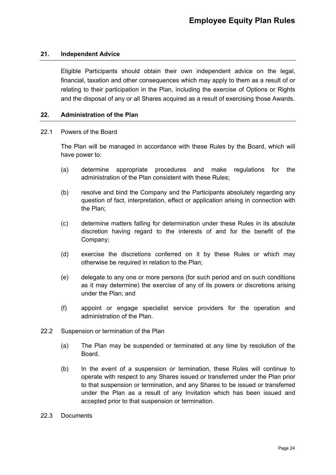# <span id="page-24-0"></span>**21. Independent Advice**

Eligible Participants should obtain their own independent advice on the legal, financial, taxation and other consequences which may apply to them as a result of or relating to their participation in the Plan, including the exercise of Options or Rights and the disposal of any or all Shares acquired as a result of exercising those Awards.

#### <span id="page-24-1"></span>**22. Administration of the Plan**

#### 22.1 Powers of the Board

The Plan will be managed in accordance with these Rules by the Board, which will have power to:

- (a) determine appropriate procedures and make regulations for the administration of the Plan consistent with these Rules;
- (b) resolve and bind the Company and the Participants absolutely regarding any question of fact, interpretation, effect or application arising in connection with the Plan;
- (c) determine matters falling for determination under these Rules in its absolute discretion having regard to the interests of and for the benefit of the Company;
- (d) exercise the discretions conferred on it by these Rules or which may otherwise be required in relation to the Plan;
- (e) delegate to any one or more persons (for such period and on such conditions as it may determine) the exercise of any of its powers or discretions arising under the Plan; and
- (f) appoint or engage specialist service providers for the operation and administration of the Plan.
- 22.2 Suspension or termination of the Plan
	- (a) The Plan may be suspended or terminated at any time by resolution of the Board.
	- (b) In the event of a suspension or termination, these Rules will continue to operate with respect to any Shares issued or transferred under the Plan prior to that suspension or termination, and any Shares to be issued or transferred under the Plan as a result of any Invitation which has been issued and accepted prior to that suspension or termination.
- 22.3 Documents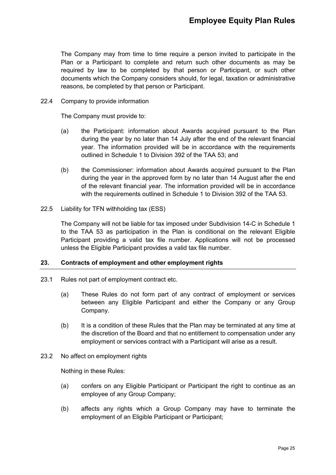The Company may from time to time require a person invited to participate in the Plan or a Participant to complete and return such other documents as may be required by law to be completed by that person or Participant, or such other documents which the Company considers should, for legal, taxation or administrative reasons, be completed by that person or Participant.

22.4 Company to provide information

The Company must provide to:

- (a) the Participant: information about Awards acquired pursuant to the Plan during the year by no later than 14 July after the end of the relevant financial year. The information provided will be in accordance with the requirements outlined in Schedule 1 to Division 392 of the TAA 53; and
- (b) the Commissioner: information about Awards acquired pursuant to the Plan during the year in the approved form by no later than 14 August after the end of the relevant financial year. The information provided will be in accordance with the requirements outlined in Schedule 1 to Division 392 of the TAA 53.
- 22.5 Liability for TFN withholding tax (ESS)

The Company will not be liable for tax imposed under Subdivision 14-C in Schedule 1 to the TAA 53 as participation in the Plan is conditional on the relevant Eligible Participant providing a valid tax file number. Applications will not be processed unless the Eligible Participant provides a valid tax file number.

# <span id="page-25-0"></span>**23. Contracts of employment and other employment rights**

- 23.1 Rules not part of employment contract etc.
	- (a) These Rules do not form part of any contract of employment or services between any Eligible Participant and either the Company or any Group Company.
	- (b) It is a condition of these Rules that the Plan may be terminated at any time at the discretion of the Board and that no entitlement to compensation under any employment or services contract with a Participant will arise as a result.
- 23.2 No affect on employment rights

Nothing in these Rules:

- (a) confers on any Eligible Participant or Participant the right to continue as an employee of any Group Company;
- (b) affects any rights which a Group Company may have to terminate the employment of an Eligible Participant or Participant;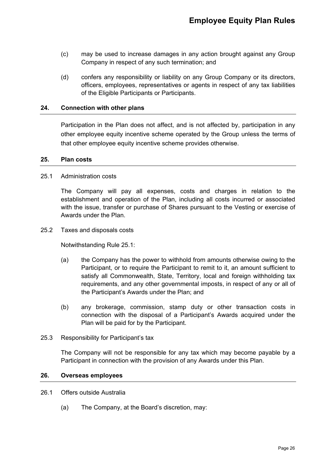- (c) may be used to increase damages in any action brought against any Group Company in respect of any such termination; and
- (d) confers any responsibility or liability on any Group Company or its directors, officers, employees, representatives or agents in respect of any tax liabilities of the Eligible Participants or Participants.

# <span id="page-26-0"></span>**24. Connection with other plans**

Participation in the Plan does not affect, and is not affected by, participation in any other employee equity incentive scheme operated by the Group unless the terms of that other employee equity incentive scheme provides otherwise.

#### <span id="page-26-1"></span>**25. Plan costs**

# 25.1 Administration costs

The Company will pay all expenses, costs and charges in relation to the establishment and operation of the Plan, including all costs incurred or associated with the issue, transfer or purchase of Shares pursuant to the Vesting or exercise of Awards under the Plan.

25.2 Taxes and disposals costs

Notwithstanding Rule 25.1:

- (a) the Company has the power to withhold from amounts otherwise owing to the Participant, or to require the Participant to remit to it, an amount sufficient to satisfy all Commonwealth, State, Territory, local and foreign withholding tax requirements, and any other governmental imposts, in respect of any or all of the Participant's Awards under the Plan; and
- (b) any brokerage, commission, stamp duty or other transaction costs in connection with the disposal of a Participant's Awards acquired under the Plan will be paid for by the Participant.
- 25.3 Responsibility for Participant's tax

The Company will not be responsible for any tax which may become payable by a Participant in connection with the provision of any Awards under this Plan.

#### <span id="page-26-2"></span>**26. Overseas employees**

#### 26.1 Offers outside Australia

(a) The Company, at the Board's discretion, may: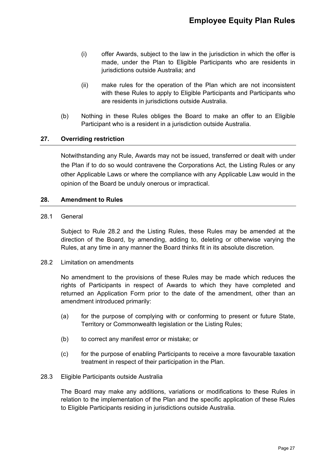- (i) offer Awards, subject to the law in the jurisdiction in which the offer is made, under the Plan to Eligible Participants who are residents in jurisdictions outside Australia; and
- (ii) make rules for the operation of the Plan which are not inconsistent with these Rules to apply to Eligible Participants and Participants who are residents in jurisdictions outside Australia.
- (b) Nothing in these Rules obliges the Board to make an offer to an Eligible Participant who is a resident in a jurisdiction outside Australia.

# <span id="page-27-0"></span>**27. Overriding restriction**

Notwithstanding any Rule, Awards may not be issued, transferred or dealt with under the Plan if to do so would contravene the Corporations Act, the Listing Rules or any other Applicable Laws or where the compliance with any Applicable Law would in the opinion of the Board be unduly onerous or impractical.

### <span id="page-27-1"></span>**28. Amendment to Rules**

28.1 General

Subject to Rule 28.2 and the Listing Rules, these Rules may be amended at the direction of the Board, by amending, adding to, deleting or otherwise varying the Rules, at any time in any manner the Board thinks fit in its absolute discretion.

28.2 Limitation on amendments

No amendment to the provisions of these Rules may be made which reduces the rights of Participants in respect of Awards to which they have completed and returned an Application Form prior to the date of the amendment, other than an amendment introduced primarily:

- (a) for the purpose of complying with or conforming to present or future State, Territory or Commonwealth legislation or the Listing Rules;
- (b) to correct any manifest error or mistake; or
- (c) for the purpose of enabling Participants to receive a more favourable taxation treatment in respect of their participation in the Plan.

#### 28.3 Eligible Participants outside Australia

The Board may make any additions, variations or modifications to these Rules in relation to the implementation of the Plan and the specific application of these Rules to Eligible Participants residing in jurisdictions outside Australia.